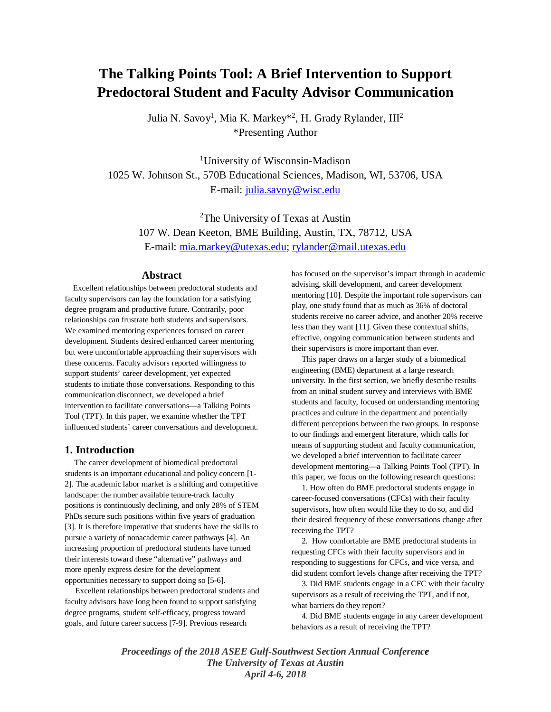# **The Talking Points Tool: A Brief Intervention to Support Predoctoral Student and Faculty Advisor Communication**

Julia N. Savoy<sup>1</sup>, Mia K. Markey\*<sup>2</sup>, H. Grady Rylander, III<sup>2</sup> \*Presenting Author

1 University of Wisconsin-Madison 1025 W. Johnson St., 570B Educational Sciences, Madison, WI, 53706, USA E-mail: [julia.savoy@wisc.edu](mailto:julia.savoy@wisc.edu)

<sup>2</sup>The University of Texas at Austin 107 W. Dean Keeton, BME Building, Austin, TX, 78712, USA E-mail: [mia.markey@utexas.edu;](mailto:mia.markey@utexas.edu) [rylander@mail.utexas.edu](mailto:rylander@mail.utexas.edu)

# **Abstract**

 Excellent relationships between predoctoral students and faculty supervisors can lay the foundation for a satisfying degree program and productive future. Contrarily, poor relationships can frustrate both students and supervisors. We examined mentoring experiences focused on career development. Students desired enhanced career mentoring but were uncomfortable approaching their supervisors with these concerns. Faculty advisors reported willingness to support students' career development, yet expected students to initiate those conversations. Responding to this communication disconnect, we developed a brief intervention to facilitate conversations—a Talking Points Tool (TPT). In this paper, we examine whether the TPT influenced students' career conversations and development.

# **1. Introduction**

 The career development of biomedical predoctoral students is an important educational and policy concern [1- 2]. The academic labor market is a shifting and competitive landscape: the number available tenure-track faculty positions is continuously declining, and only 28% of STEM PhDs secure such positions within five years of graduation [3]. It is therefore imperative that students have the skills to pursue a variety of nonacademic career pathways [4]. An increasing proportion of predoctoral students have turned their interests toward these "alternative" pathways and more openly express desire for the development opportunities necessary to support doing so [5-6].

 Excellent relationships between predoctoral students and faculty advisors have long been found to support satisfying degree programs, student self-efficacy, progress toward goals, and future career success [7-9]. Previous research

has focused on the supervisor's impact through in academic advising, skill development, and career development mentoring [10]. Despite the important role supervisors can play, one study found that as much as 36% of doctoral students receive no career advice, and another 20% receive less than they want [11]. Given these contextual shifts, effective, ongoing communication between students and their supervisors is more important than ever.

 This paper draws on a larger study of a biomedical engineering (BME) department at a large research university. In the first section, we briefly describe results from an initial student survey and interviews with BME students and faculty, focused on understanding mentoring practices and culture in the department and potentially different perceptions between the two groups. In response to our findings and emergent literature, which calls for means of supporting student and faculty communication, we developed a brief intervention to facilitate career development mentoring—a Talking Points Tool (TPT). In this paper, we focus on the following research questions:

 1. How often do BME predoctoral students engage in career-focused conversations (CFCs) with their faculty supervisors, how often would like they to do so, and did their desired frequency of these conversations change after receiving the TPT?

 2. How comfortable are BME predoctoral students in requesting CFCs with their faculty supervisors and in responding to suggestions for CFCs, and vice versa, and did student comfort levels change after receiving the TPT?

 3. Did BME students engage in a CFC with their faculty supervisors as a result of receiving the TPT, and if not, what barriers do they report?

 4. Did BME students engage in any career development behaviors as a result of receiving the TPT?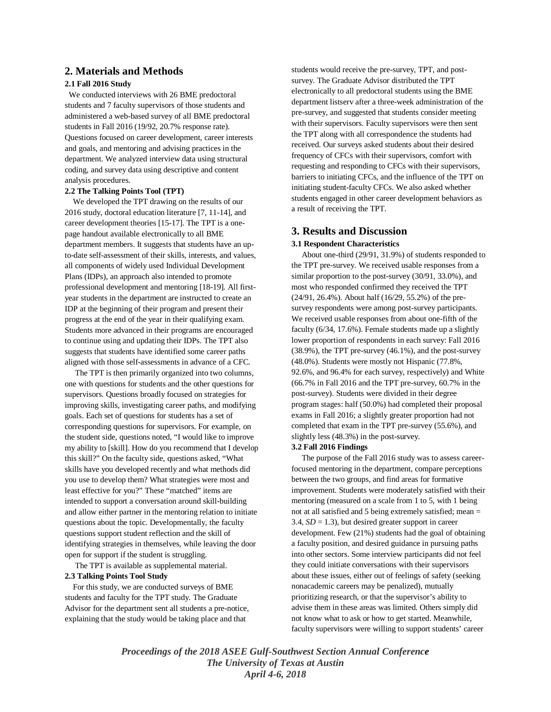# **2. Materials and Methods**

## **2.1 Fall 2016 Study**

We conducted interviews with 26 BME predoctoral students and 7 faculty supervisors of those students and administered a web-based survey of all BME predoctoral students in Fall 2016 (19/92, 20.7% response rate). Questions focused on career development, career interests and goals, and mentoring and advising practices in the department. We analyzed interview data using structural coding, and survey data using descriptive and content analysis procedures.

#### **2.2 The Talking Points Tool (TPT)**

 We developed the TPT drawing on the results of our 2016 study, doctoral education literature [7, 11-14], and career development theories [15-17]. The TPT is a onepage handout available electronically to all BME department members. It suggests that students have an upto-date self-assessment of their skills, interests, and values, all components of widely used Individual Development Plans (IDPs), an approach also intended to promote professional development and mentoring [18-19]. All firstyear students in the department are instructed to create an IDP at the beginning of their program and present their progress at the end of the year in their qualifying exam. Students more advanced in their programs are encouraged to continue using and updating their IDPs. The TPT also suggests that students have identified some career paths aligned with those self-assessments in advance of a CFC.

 The TPT is then primarily organized into two columns, one with questions for students and the other questions for supervisors. Questions broadly focused on strategies for improving skills, investigating career paths, and modifying goals. Each set of questions for students has a set of corresponding questions for supervisors. For example, on the student side, questions noted, "I would like to improve my ability to [skill]. How do you recommend that I develop this skill?" On the faculty side, questions asked, "What skills have you developed recently and what methods did you use to develop them? What strategies were most and least effective for you?" These "matched" items are intended to support a conversation around skill-building and allow either partner in the mentoring relation to initiate questions about the topic. Developmentally, the faculty questions support student reflection and the skill of identifying strategies in themselves, while leaving the door open for support if the student is struggling.

The TPT is available as supplemental material.

### **2.3 Talking Points Tool Study**

 For this study, we are conducted surveys of BME students and faculty for the TPT study. The Graduate Advisor for the department sent all students a pre-notice, explaining that the study would be taking place and that

students would receive the pre-survey, TPT, and postsurvey. The Graduate Advisor distributed the TPT electronically to all predoctoral students using the BME department listserv after a three-week administration of the pre-survey, and suggested that students consider meeting with their supervisors. Faculty supervisors were then sent the TPT along with all correspondence the students had received. Our surveys asked students about their desired frequency of CFCs with their supervisors, comfort with requesting and responding to CFCs with their supervisors, barriers to initiating CFCs, and the influence of the TPT on initiating student-faculty CFCs. We also asked whether students engaged in other career development behaviors as a result of receiving the TPT.

## **3. Results and Discussion**

#### **3.1 Respondent Characteristics**

 About one-third (29/91, 31.9%) of students responded to the TPT pre-survey. We received usable responses from a similar proportion to the post-survey (30/91, 33.0%), and most who responded confirmed they received the TPT (24/91, 26.4%). About half (16/29, 55.2%) of the presurvey respondents were among post-survey participants. We received usable responses from about one-fifth of the faculty (6/34, 17.6%). Female students made up a slightly lower proportion of respondents in each survey: Fall 2016 (38.9%), the TPT pre-survey (46.1%), and the post-survey (48.0%). Students were mostly not Hispanic (77.8%, 92.6%, and 96.4% for each survey, respectively) and White (66.7% in Fall 2016 and the TPT pre-survey, 60.7% in the post-survey). Students were divided in their degree program stages: half (50.0%) had completed their proposal exams in Fall 2016; a slightly greater proportion had not completed that exam in the TPT pre-survey (55.6%), and slightly less (48.3%) in the post-survey.

#### **3.2 Fall 2016 Findings**

 The purpose of the Fall 2016 study was to assess careerfocused mentoring in the department, compare perceptions between the two groups, and find areas for formative improvement. Students were moderately satisfied with their mentoring (measured on a scale from 1 to 5, with 1 being not at all satisfied and 5 being extremely satisfied; mean = 3.4,  $SD = 1.3$ ), but desired greater support in career development. Few (21%) students had the goal of obtaining a faculty position, and desired guidance in pursuing paths into other sectors. Some interview participants did not feel they could initiate conversations with their supervisors about these issues, either out of feelings of safety (seeking nonacademic careers may be penalized), mutually prioritizing research, or that the supervisor's ability to advise them in these areas was limited. Others simply did not know what to ask or how to get started. Meanwhile, faculty supervisors were willing to support students' career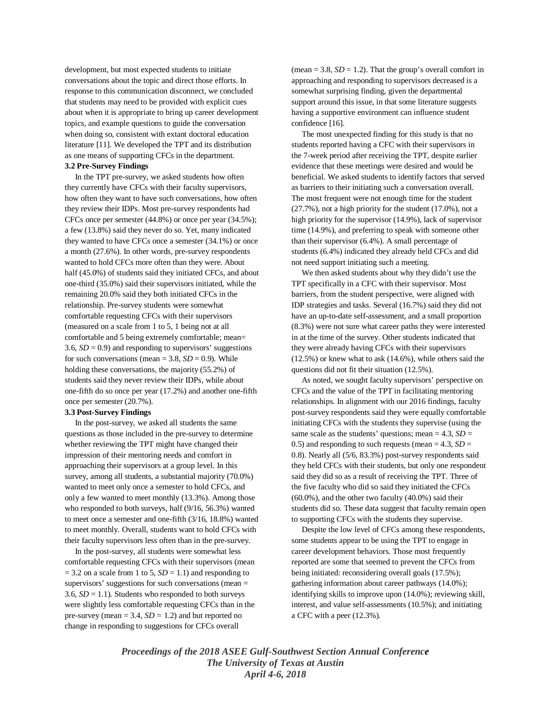development, but most expected students to initiate conversations about the topic and direct those efforts. In response to this communication disconnect, we concluded that students may need to be provided with explicit cues about when it is appropriate to bring up career development topics, and example questions to guide the conversation when doing so, consistent with extant doctoral education literature [11]. We developed the TPT and its distribution as one means of supporting CFCs in the department.

## **3.2 Pre-Survey Findings**

 In the TPT pre-survey, we asked students how often they currently have CFCs with their faculty supervisors, how often they want to have such conversations, how often they review their IDPs. Most pre-survey respondents had CFCs once per semester (44.8%) or once per year (34.5%); a few (13.8%) said they never do so. Yet, many indicated they wanted to have CFCs once a semester (34.1%) or once a month (27.6%). In other words, pre-survey respondents wanted to hold CFCs more often than they were. About half (45.0%) of students said they initiated CFCs, and about one-third (35.0%) said their supervisors initiated, while the remaining 20.0% said they both initiated CFCs in the relationship. Pre-survey students were somewhat comfortable requesting CFCs with their supervisors (measured on a scale from 1 to 5, 1 being not at all comfortable and 5 being extremely comfortable; mean= 3.6,  $SD = 0.9$ ) and responding to supervisors' suggestions for such conversations (mean  $= 3.8$ ,  $SD = 0.9$ ). While holding these conversations, the majority (55.2%) of students said they never review their IDPs, while about one-fifth do so once per year (17.2%) and another one-fifth once per semester (20.7%).

#### **3.3 Post-Survey Findings**

 In the post-survey, we asked all students the same questions as those included in the pre-survey to determine whether reviewing the TPT might have changed their impression of their mentoring needs and comfort in approaching their supervisors at a group level. In this survey, among all students, a substantial majority (70.0%) wanted to meet only once a semester to hold CFCs, and only a few wanted to meet monthly (13.3%). Among those who responded to both surveys, half (9/16, 56.3%) wanted to meet once a semester and one-fifth (3/16, 18.8%) wanted to meet monthly. Overall, students want to hold CFCs with their faculty supervisors less often than in the pre-survey.

 In the post-survey, all students were somewhat less comfortable requesting CFCs with their supervisors (mean  $= 3.2$  on a scale from 1 to 5,  $SD = 1.1$ ) and responding to supervisors' suggestions for such conversations (mean = 3.6,  $SD = 1.1$ ). Students who responded to both surveys were slightly less comfortable requesting CFCs than in the pre-survey (mean  $= 3.4$ ,  $SD = 1.2$ ) and but reported no change in responding to suggestions for CFCs overall

(mean  $= 3.8$ ,  $SD = 1.2$ ). That the group's overall comfort in approaching and responding to supervisors decreased is a somewhat surprising finding, given the departmental support around this issue, in that some literature suggests having a supportive environment can influence student confidence [16].

 The most unexpected finding for this study is that no students reported having a CFC with their supervisors in the 7-week period after receiving the TPT, despite earlier evidence that these meetings were desired and would be beneficial. We asked students to identify factors that served as barriers to their initiating such a conversation overall. The most frequent were not enough time for the student (27.7%), not a high priority for the student (17.0%), not a high priority for the supervisor (14.9%), lack of supervisor time (14.9%), and preferring to speak with someone other than their supervisor (6.4%). A small percentage of students (6.4%) indicated they already held CFCs and did not need support initiating such a meeting.

 We then asked students about why they didn't use the TPT specifically in a CFC with their supervisor. Most barriers, from the student perspective, were aligned with IDP strategies and tasks. Several (16.7%) said they did not have an up-to-date self-assessment, and a small proportion (8.3%) were not sure what career paths they were interested in at the time of the survey. Other students indicated that they were already having CFCs with their supervisors (12.5%) or knew what to ask (14.6%), while others said the questions did not fit their situation (12.5%).

 As noted, we sought faculty supervisors' perspective on CFCs and the value of the TPT in facilitating mentoring relationships. In alignment with our 2016 findings, faculty post-survey respondents said they were equally comfortable initiating CFCs with the students they supervise (using the same scale as the students' questions; mean  $= 4.3$ ,  $SD =$ 0.5) and responding to such requests (mean  $= 4.3$ ,  $SD =$ 0.8). Nearly all (5/6, 83.3%) post-survey respondents said they held CFCs with their students, but only one respondent said they did so as a result of receiving the TPT. Three of the five faculty who did so said they initiated the CFCs (60.0%), and the other two faculty (40.0%) said their students did so. These data suggest that faculty remain open to supporting CFCs with the students they supervise.

 Despite the low level of CFCs among these respondents, some students appear to be using the TPT to engage in career development behaviors. Those most frequently reported are some that seemed to prevent the CFCs from being initiated: reconsidering overall goals (17.5%); gathering information about career pathways (14.0%); identifying skills to improve upon (14.0%); reviewing skill, interest, and value self-assessments (10.5%); and initiating a CFC with a peer (12.3%).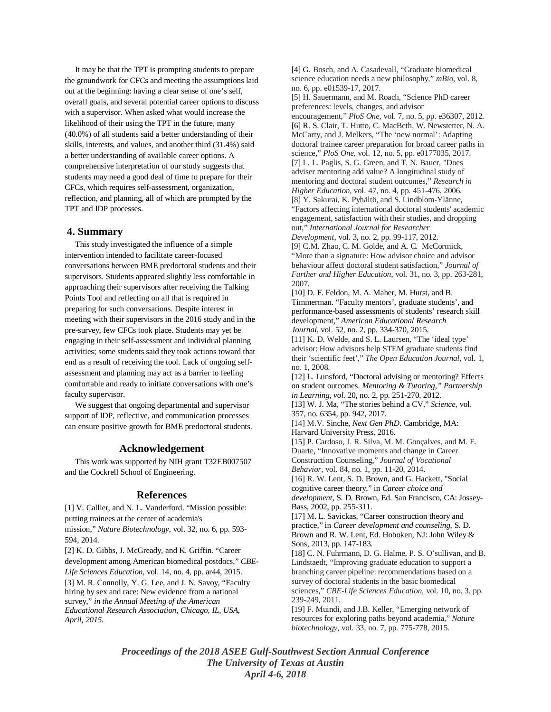It may be that the TPT is prompting students to prepare the groundwork for CFCs and meeting the assumptions laid out at the beginning: having a clear sense of one's self, overall goals, and several potential career options to discuss with a supervisor. When asked what would increase the likelihood of their using the TPT in the future, many (40.0%) of all students said a better understanding of their skills, interests, and values, and another third (31.4%) said a better understanding of available career options. A comprehensive interpretation of our study suggests that students may need a good deal of time to prepare for their CFCs, which requires self-assessment, organization, reflection, and planning, all of which are prompted by the TPT and IDP processes.

# **4. Summary**

 This study investigated the influence of a simple intervention intended to facilitate career-focused conversations between BME predoctoral students and their supervisors. Students appeared slightly less comfortable in approaching their supervisors after receiving the Talking Points Tool and reflecting on all that is required in preparing for such conversations. Despite interest in meeting with their supervisors in the 2016 study and in the pre-survey, few CFCs took place. Students may yet be engaging in their self-assessment and individual planning activities; some students said they took actions toward that end as a result of receiving the tool. Lack of ongoing selfassessment and planning may act as a barrier to feeling comfortable and ready to initiate conversations with one's faculty supervisor.

 We suggest that ongoing departmental and supervisor support of IDP, reflective, and communication processes can ensure positive growth for BME predoctoral students.

# **Acknowledgement**

 This work was supported by NIH grant T32EB007507 and the Cockrell School of Engineering.

## **References**

[1] V. Callier, and N. L. Vanderford. "Mission possible: putting trainees at the center of academia's

mission," *Nature Biotechnology*, vol. 32, no. 6, pp. 593- 594, 2014.

[2] K. D. Gibbs, J. McGready, and K. Griffin. "Career development among American biomedical postdocs," *CBE-Life Sciences Education*, vol. 14, no. 4, pp. ar44, 2015.

[3] M. R. Connolly, Y. G. Lee, and J. N. Savoy, "Faculty hiring by sex and race: New evidence from a national survey," *in the Annual Meeting of the American Educational Research Association, Chicago, IL, USA, April, 2015.*

[4] G. Bosch, and A. Casadevall, "Graduate biomedical science education needs a new philosophy," *mBio*, vol. 8, no. 6, pp. e01539-17, 2017.

[5] H. Sauermann, and M. Roach, "Science PhD career preferences: levels, changes, and advisor encouragement," *PloS One*, vol. 7, no. 5, pp. e36307, 2012. [6] R. S. Clair, T. Hutto, C. MacBeth, W. Newstetter, N. A. McCarty, and J. Melkers, "The 'new normal': Adapting doctoral trainee career preparation for broad career paths in science," *PloS One*, vol. 12, no. 5, pp. e0177035, 2017. [7] L. L. Paglis, S. G. Green, and T. N. Bauer, "Does adviser mentoring add value? A longitudinal study of mentoring and doctoral student outcomes," *Research in Higher Education*, vol. 47, no. 4, pp. 451-476, 2006. [8] Y. Sakurai, K. Pyhältö, and S. Lindblom-Ylänne, "Factors affecting international doctoral students' academic engagement, satisfaction with their studies, and dropping out," *International Journal for Researcher Development*, vol. 3, no. 2, pp. 99-117, 2012.

[9] C.M. Zhao, C. M. Golde, and A. C. McCormick, "More than a signature: How advisor choice and advisor behaviour affect doctoral student satisfaction," *Journal of Further and Higher Education*, vol. 31, no. 3, pp. 263-281, 2007.

[10] D. F. Feldon, M. A. Maher, M. Hurst, and B. Timmerman. "Faculty mentors', graduate students', and performance-based assessments of students' research skill development," *American Educational Research Journal*, vol. 52, no. 2, pp. 334-370, 2015.

[11] K. D. Welde, and S. L. Laursen, "The 'ideal type' advisor: How advisors help STEM graduate students find their 'scientific feet'," *The Open Education Journal*, vol. 1, no. 1, 2008.

[12] L. Lunsford, "Doctoral advising or mentoring? Effects on student outcomes. *Mentoring & Tutoring," Partnership in Learning, vol.* 20, no. 2, pp. 251-270, 2012.

[13] W. J. Ma, "The stories behind a CV," *Science,* vol. 357, no. 6354, pp. 942, 2017.

[14] M.V. Sinche, *Next Gen PhD*. Cambridge, MA: Harvard University Press, 2016.

[15] P. Cardoso, J. R. Silva, M. M. Gonçalves, and M. E. Duarte, "Innovative moments and change in Career Construction Counseling," *Journal of Vocational Behavior*, vol. 84, no. 1, pp. 11-20, 2014. [16] R. W. Lent, S. D. Brown, and G. Hackett, "Social

cognitive career theory," in *Career choice and development,* S. D. Brown, Ed. San Francisco, CA: Jossey-Bass, 2002, pp. 255-311.

[17] M. L. Savickas, "Career construction theory and practice," in *Career development and counseling*, S. D. Brown and R. W. Lent, Ed. Hoboken, NJ: John Wiley & Sons, 2013, pp. 147-183.

[18] C. N. Fuhrmann, D. G. Halme, P. S. O'sullivan, and B. Lindstaedt, "Improving graduate education to support a branching career pipeline: recommendations based on a survey of doctoral students in the basic biomedical sciences," *CBE-Life Sciences Education*, vol. 10, no. 3, pp. 239-249, 2011.

[19] F. Muindi, and J.B. Keller, "Emerging network of resources for exploring paths beyond academia," *Nature biotechnology*, vol. 33, no. 7, pp. 775-778, 2015.